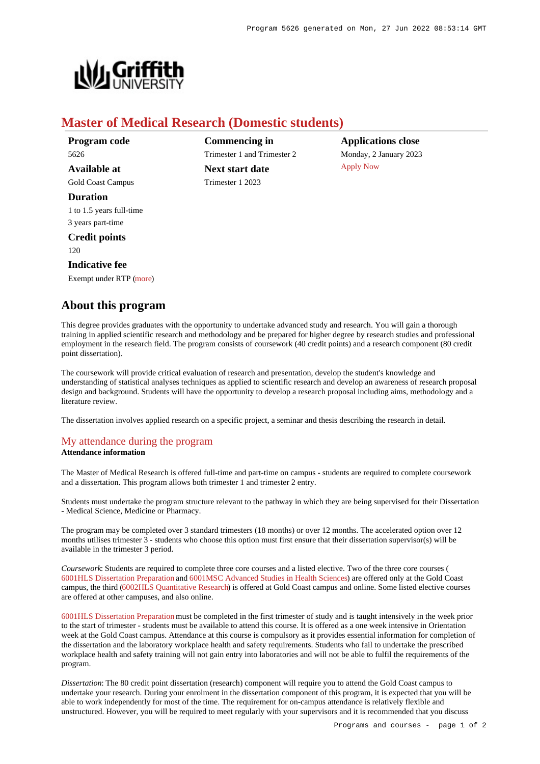

# **Master of Medical Research (Domestic students)**

**Program code** 5626 **Available at** Gold Coast Campus

**Duration** 1 to 1.5 years full-time 3 years part-time

**Credit points** 120

#### **Indicative fee**

Exempt under RTP [\(more](https://www148.griffith.edu.au/programs-courses/Program/5626/Overview/Domestic#fees))

## **About this program**

**Commencing in** Trimester 1 and Trimester 2 **Next start date** Trimester 1 2023

**Applications close** Monday, 2 January 2023 [Apply Now](https://www148.griffith.edu.au/programs-courses/Program/5626/Overview/Domestic#)

This degree provides graduates with the opportunity to undertake advanced study and research. You will gain a thorough training in applied scientific research and methodology and be prepared for higher degree by research studies and professional employment in the research field. The program consists of coursework (40 credit points) and a research component (80 credit point dissertation).

The coursework will provide critical evaluation of research and presentation, develop the student's knowledge and understanding of statistical analyses techniques as applied to scientific research and develop an awareness of research proposal design and background. Students will have the opportunity to develop a research proposal including aims, methodology and a literature review.

The dissertation involves applied research on a specific project, a seminar and thesis describing the research in detail.

## [My attendance during the program](https://www148.griffith.edu.au/programs-courses/Program/5626/Overview/Domestic#attendance) **Attendance information**

The Master of Medical Research is offered full-time and part-time on campus - students are required to complete coursework and a dissertation. This program allows both trimester 1 and trimester 2 entry.

Students must undertake the program structure relevant to the pathway in which they are being supervised for their Dissertation - Medical Science, Medicine or Pharmacy.

The program may be completed over 3 standard trimesters (18 months) or over 12 months. The accelerated option over 12 months utilises trimester  $\hat{3}$  - students who choose this option must first ensure that their dissertation supervisor(s) will be available in the trimester 3 period.

*Coursework*: Students are required to complete three core courses and a listed elective. Two of the three core courses ( [6001HLS Dissertation Preparation](https://www148.griffith.edu.au/Course/6001HLS) and [6001MSC Advanced Studies in Health Sciences](https://www148.griffith.edu.au/Course/6001MSC)) are offered only at the Gold Coast campus, the third [\(6002HLS Quantitative Research](https://www148.griffith.edu.au/Course/6002HLS)) is offered at Gold Coast campus and online. Some listed elective courses are offered at other campuses, and also online.

[6001HLS Dissertation Preparation](https://www148.griffith.edu.au/Course/6001HLS) must be completed in the first trimester of study and is taught intensively in the week prior to the start of trimester - students must be available to attend this course. It is offered as a one week intensive in Orientation week at the Gold Coast campus. Attendance at this course is compulsory as it provides essential information for completion of the dissertation and the laboratory workplace health and safety requirements. Students who fail to undertake the prescribed workplace health and safety training will not gain entry into laboratories and will not be able to fulfil the requirements of the program.

*Dissertation*: The 80 credit point dissertation (research) component will require you to attend the Gold Coast campus to undertake your research. During your enrolment in the dissertation component of this program, it is expected that you will be able to work independently for most of the time. The requirement for on-campus attendance is relatively flexible and unstructured. However, you will be required to meet regularly with your supervisors and it is recommended that you discuss